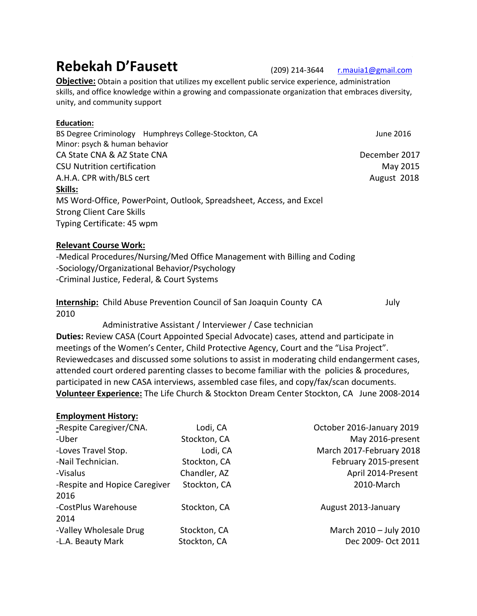# **Rebekah D'Fausett** (209) 214-3644 r.mauia1@gmail.com

**Objective:** Obtain a position that utilizes my excellent public service experience, administration skills, and office knowledge within a growing and compassionate organization that embraces diversity, unity, and community support

## **Education:**

BS Degree Criminology Humphreys College-Stockton, CA June 2016 Minor: psych & human behavior CA State CNA & AZ State CNA December 2017 CSU Nutrition certification **May 2015** A.H.A. CPR with/BLS cert **August 2018 Skills:** MS Word-Office, PowerPoint, Outlook, Spreadsheet, Access, and Excel Strong Client Care Skills Typing Certificate: 45 wpm

## **Relevant Course Work:**

-Medical Procedures/Nursing/Med Office Management with Billing and Coding -Sociology/Organizational Behavior/Psychology -Criminal Justice, Federal, & Court Systems

**Internship:** Child Abuse Prevention Council of San Joaquin County CA July 2010

 Administrative Assistant / Interviewer / Case technician **Duties:** Review CASA (Court Appointed Special Advocate) cases, attend and participate in meetings of the Women's Center, Child Protective Agency, Court and the "Lisa Project". Reviewedcases and discussed some solutions to assist in moderating child endangerment cases, attended court ordered parenting classes to become familiar with the policies & procedures, participated in new CASA interviews, assembled case files, and copy/fax/scan documents. **Volunteer Experience:** The Life Church & Stockton Dream Center Stockton, CA June 2008-2014

### **Employment History:**

| -Respite Caregiver/CNA.       | Lodi, CA     | October 2016-January 2019 |
|-------------------------------|--------------|---------------------------|
| -Uber                         | Stockton, CA | May 2016-present          |
| -Loves Travel Stop.           | Lodi, CA     | March 2017-February 2018  |
| -Nail Technician.             | Stockton, CA | February 2015-present     |
| -Visalus                      | Chandler, AZ | April 2014-Present        |
| -Respite and Hopice Caregiver | Stockton, CA | 2010-March                |
| 2016                          |              |                           |
| -CostPlus Warehouse           | Stockton, CA | August 2013-January       |
| 2014                          |              |                           |
| -Valley Wholesale Drug        | Stockton, CA | March 2010 - July 2010    |
| -L.A. Beauty Mark             | Stockton, CA | Dec 2009- Oct 2011        |